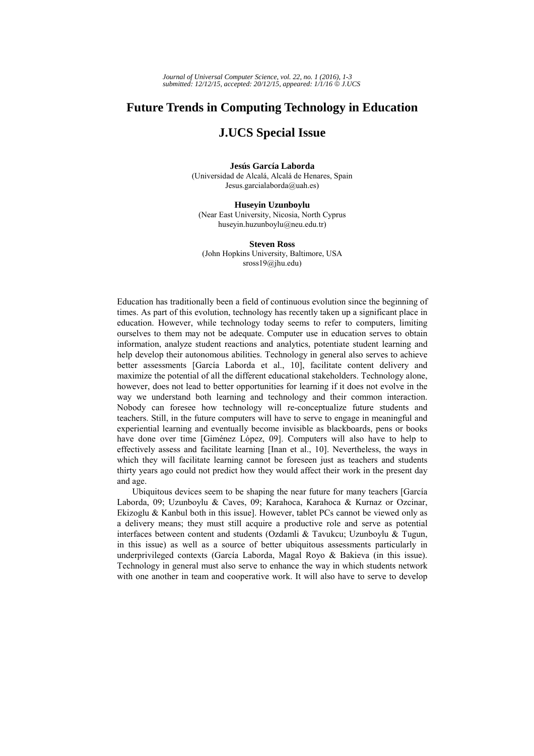# **Future Trends in Computing Technology in Education**

# **J.UCS Special Issue**

#### **Jesús García Laborda**  (Universidad de Alcalá, Alcalá de Henares, Spain Jesus.garcialaborda@uah.es)

**Huseyin Uzunboylu**  (Near East University, Nicosia, North Cyprus huseyin.huzunboylu@neu.edu.tr)

**Steven Ross**  (John Hopkins University, Baltimore, USA sross19@jhu.edu)

Education has traditionally been a field of continuous evolution since the beginning of times. As part of this evolution, technology has recently taken up a significant place in education. However, while technology today seems to refer to computers, limiting ourselves to them may not be adequate. Computer use in education serves to obtain information, analyze student reactions and analytics, potentiate student learning and help develop their autonomous abilities. Technology in general also serves to achieve better assessments [García Laborda et al., 10], facilitate content delivery and maximize the potential of all the different educational stakeholders. Technology alone, however, does not lead to better opportunities for learning if it does not evolve in the way we understand both learning and technology and their common interaction. Nobody can foresee how technology will re-conceptualize future students and teachers. Still, in the future computers will have to serve to engage in meaningful and experiential learning and eventually become invisible as blackboards, pens or books have done over time [Giménez López, 09]. Computers will also have to help to effectively assess and facilitate learning [Inan et al., 10]. Nevertheless, the ways in which they will facilitate learning cannot be foreseen just as teachers and students thirty years ago could not predict how they would affect their work in the present day and age.

Ubiquitous devices seem to be shaping the near future for many teachers [García Laborda, 09; Uzunboylu & Caves, 09; Karahoca, Karahoca & Kurnaz or Ozcinar, Ekizoglu & Kanbul both in this issue]. However, tablet PCs cannot be viewed only as a delivery means; they must still acquire a productive role and serve as potential interfaces between content and students (Ozdamli & Tavukcu; Uzunboylu & Tugun, in this issue) as well as a source of better ubiquitous assessments particularly in underprivileged contexts (García Laborda, Magal Royo & Bakieva (in this issue). Technology in general must also serve to enhance the way in which students network with one another in team and cooperative work. It will also have to serve to develop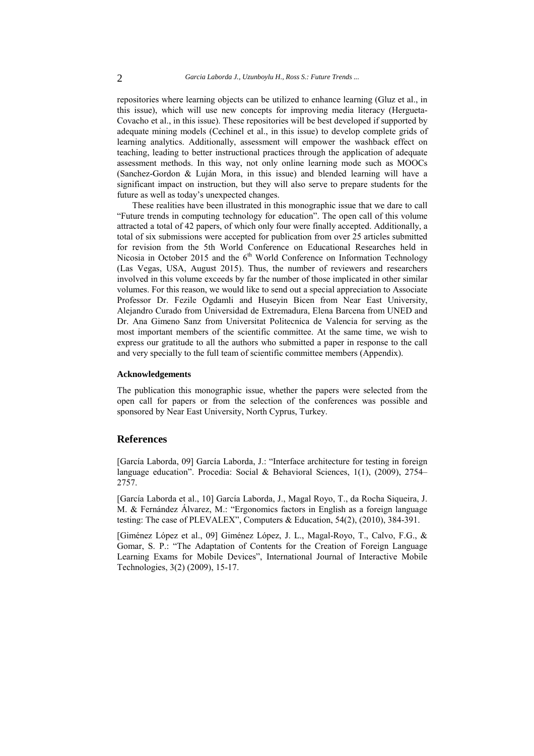repositories where learning objects can be utilized to enhance learning (Gluz et al., in this issue), which will use new concepts for improving media literacy (Hergueta-Covacho et al., in this issue). These repositories will be best developed if supported by adequate mining models (Cechinel et al., in this issue) to develop complete grids of learning analytics. Additionally, assessment will empower the washback effect on teaching, leading to better instructional practices through the application of adequate assessment methods. In this way, not only online learning mode such as MOOCs (Sanchez-Gordon & Luján Mora, in this issue) and blended learning will have a significant impact on instruction, but they will also serve to prepare students for the future as well as today's unexpected changes.

These realities have been illustrated in this monographic issue that we dare to call "Future trends in computing technology for education". The open call of this volume attracted a total of 42 papers, of which only four were finally accepted. Additionally, a total of six submissions were accepted for publication from over 25 articles submitted for revision from the 5th World Conference on Educational Researches held in Nicosia in October 2015 and the  $6<sup>th</sup>$  World Conference on Information Technology (Las Vegas, USA, August 2015). Thus, the number of reviewers and researchers involved in this volume exceeds by far the number of those implicated in other similar volumes. For this reason, we would like to send out a special appreciation to Associate Professor Dr. Fezile Ogdamli and Huseyin Bicen from Near East University, Alejandro Curado from Universidad de Extremadura, Elena Barcena from UNED and Dr. Ana Gimeno Sanz from Universitat Politecnica de Valencia for serving as the most important members of the scientific committee. At the same time, we wish to express our gratitude to all the authors who submitted a paper in response to the call and very specially to the full team of scientific committee members (Appendix).

#### **Acknowledgements**

The publication this monographic issue, whether the papers were selected from the open call for papers or from the selection of the conferences was possible and sponsored by Near East University, North Cyprus, Turkey.

### **References**

[García Laborda, 09] García Laborda, J.: "Interface architecture for testing in foreign language education". Procedia: Social & Behavioral Sciences, 1(1), (2009), 2754– 2757.

[García Laborda et al., 10] García Laborda, J., Magal Royo, T., da Rocha Siqueira, J. M. & Fernández Álvarez, M.: "Ergonomics factors in English as a foreign language testing: The case of PLEVALEX", Computers & Education, 54(2), (2010), 384-391.

[Giménez López et al., 09] Giménez López, J. L., Magal-Royo, T., Calvo, F.G., & Gomar, S. P.: "The Adaptation of Contents for the Creation of Foreign Language Learning Exams for Mobile Devices", International Journal of Interactive Mobile Technologies, 3(2) (2009), 15-17.